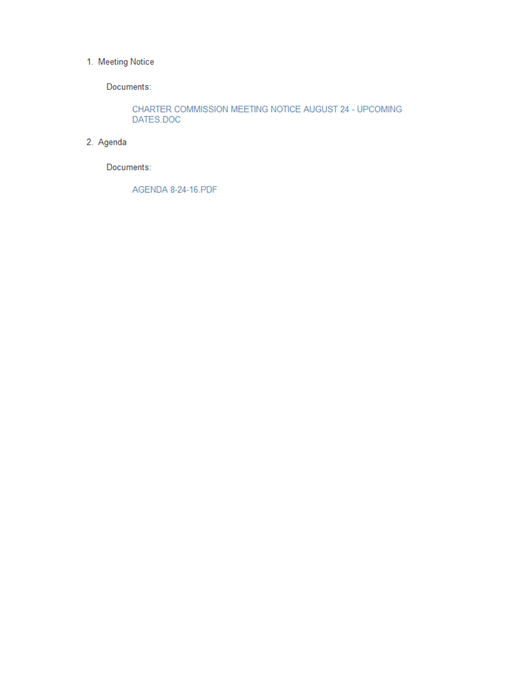#### 1. Meeting Notice

Documents:

CHARTER COMMISSION MEETING NOTICE AUGUST 24 - UPCOMING DATES.DOC

### 2. Agenda

Documents:

AGENDA 8-24-16.PDF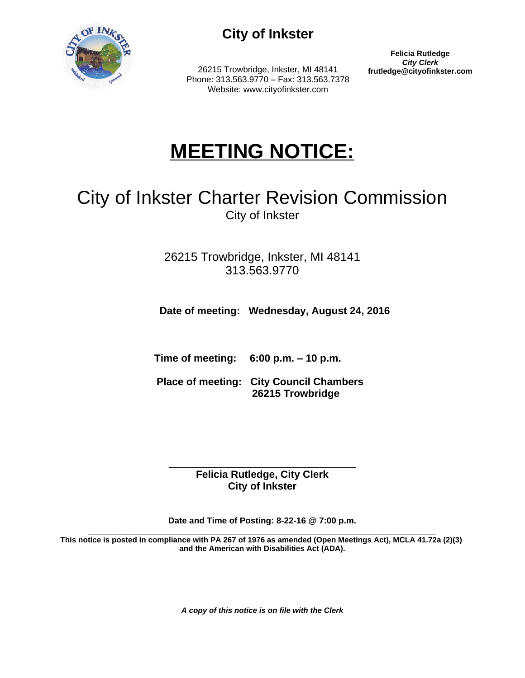

# **City of Inkster**

26215 Trowbridge, Inkster, MI 48141 Phone: 313.563.9770 – Fax: 313.563.7378 Website: www.cityofinkster.com

**Felicia Rutledge** *City Clerk*<br>frutledge@cityofinkster.com

# **MEETING NOTICE:**

# City of Inkster Charter Revision Commission City of Inkster

26215 Trowbridge, Inkster, MI 48141 313.563.9770

 **Date of meeting: Wednesday, August 24, 2016**

 **Time of meeting: 6:00 p.m. – 10 p.m.** 

 **Place of meeting: City Council Chambers 26215 Trowbridge**

\_\_\_\_\_\_\_\_\_\_\_\_\_\_\_\_\_\_\_\_\_\_\_\_\_\_\_\_ **Felicia Rutledge, City Clerk City of Inkster**

**Date and Time of Posting: 8-22-16 @ 7:00 p.m.**

**\_\_\_\_\_\_\_\_\_\_\_\_\_\_\_\_\_\_\_\_\_\_\_\_\_\_\_\_\_\_\_\_\_\_\_\_\_\_\_\_\_\_\_\_\_\_\_\_\_\_\_\_\_\_\_\_\_\_\_\_\_\_\_\_\_\_\_\_\_\_\_\_\_ This notice is posted in compliance with PA 267 of 1976 as amended (Open Meetings Act), MCLA 41.72a (2)(3) and the American with Disabilities Act (ADA).**

*A copy of this notice is on file with the Clerk*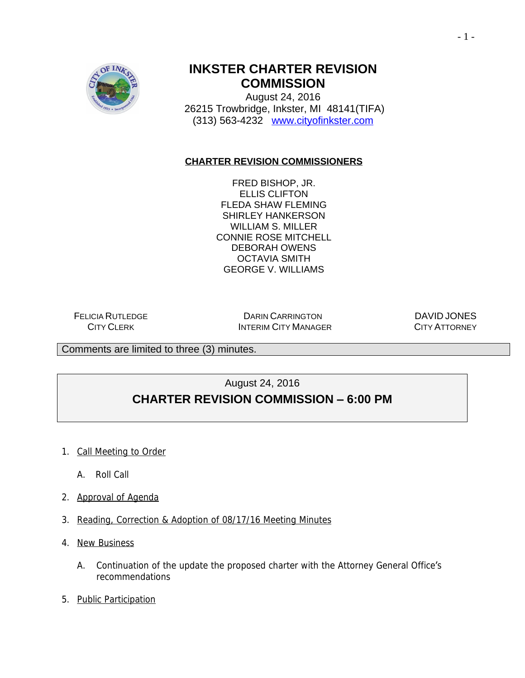

# **INKSTER CHARTER REVISION COMMISSION**

August 24, 2016 26215 Trowbridge, Inkster, MI 48141(TIFA) (313) 563-4232 [www.cityofinkster.com](http://www.cityofinkster.com)

### **CHARTER REVISION COMMISSIONERS**

FRED BISHOP, JR. ELLIS CLIFTON FLEDA SHAW FLEMING SHIRLEY HANKERSON WILLIAM S. MILLER CONNIE ROSE MITCHELL DEBORAH OWENS OCTAVIA SMITH GEORGE V. WILLIAMS

FELICIA RUTLEDGE CITY CLERK

DARIN CARRINGTON INTERIM CITY MANAGER

DAVID JONES CITY ATTORNEY

Comments are limited to three (3) minutes.

August 24, 2016

## **CHARTER REVISION COMMISSION – 6:00 PM**

- 1. Call Meeting to Order
	- A. Roll Call
- 2. Approval of Agenda
- 3. Reading, Correction & Adoption of 08/17/16 Meeting Minutes
- 4. New Business
	- A. Continuation of the update the proposed charter with the Attorney General Office's recommendations
- 5. Public Participation